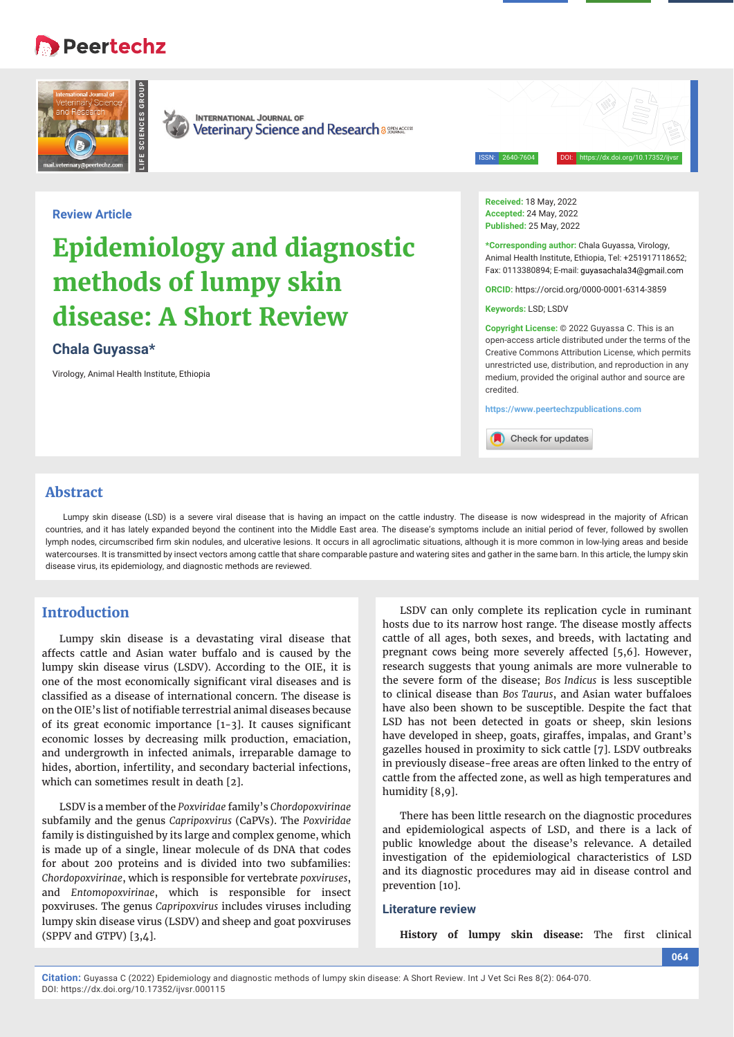## **Peertechz**





**INTERNATIONAL JOURNAL OF Veterinary Science and Research assurances** 

ISSN: 2640-7604 DOI: https://dx.doi.org/10.17352/ijvsr

## **Review Article**

# **Epidemiology and diagnostic methods of lumpy skin disease: A Short Review**

## **Chala Guyassa\***

Virology, Animal Health Institute, Ethiopia

**Received:** 18 May, 2022 **Accepted:** 24 May, 2022 **Published:** 25 May, 2022

**\*Corresponding author:** Chala Guyassa, Virology, Animal Health Institute, Ethiopia, Tel: +251917118652; Fax: 0113380894; E-mail: guyasachala34@gmail.com

**ORCID:** https://orcid.org/0000-0001-6314-3859

**Keywords:** LSD; LSDV

**Copyright License:** © 2022 Guyassa C. This is an open-access article distributed under the terms of the Creative Commons Attribution License, which permits unrestricted use, distribution, and reproduction in any medium, provided the original author and source are credited.

**https://www.peertechzpublications.com**

Check for updates

## **Abstract**

Lumpy skin disease (LSD) is a severe viral disease that is having an impact on the cattle industry. The disease is now widespread in the majority of African countries, and it has lately expanded beyond the continent into the Middle East area. The disease's symptoms include an initial period of fever, followed by swollen lymph nodes, circumscribed firm skin nodules, and ulcerative lesions. It occurs in all agroclimatic situations, although it is more common in low-lying areas and beside watercourses. It is transmitted by insect vectors among cattle that share comparable pasture and watering sites and gather in the same barn. In this article, the lumpy skin disease virus, its epidemiology, and diagnostic methods are reviewed.

## **Introduction**

Lumpy skin disease is a devastating viral disease that affects cattle and Asian water buffalo and is caused by the lumpy skin disease virus (LSDV). According to the OIE, it is one of the most economically significant viral diseases and is classified as a disease of international concern. The disease is on the OIE's list of notifiable terrestrial animal diseases because of its great economic importance  $[1-3]$ . It causes significant economic losses by decreasing milk production, emaciation, and undergrowth in infected animals, irreparable damage to hides, abortion, infertility, and secondary bacterial infections, which can sometimes result in death [2].

LSDV is a member of the *Poxviridae* family's *Chordopoxvirinae* subfamily and the genus *Capripoxvirus* (CaPVs). The *Poxviridae* family is distinguished by its large and complex genome, which is made up of a single, linear molecule of ds DNA that codes for about 200 proteins and is divided into two subfamilies: *Chordopoxvirinae*, which is responsible for vertebrate *poxviruses*, and *Entomopoxvirinae*, which is responsible for insect poxviruses. The genus *Capripoxvirus* includes viruses including lumpy skin disease virus (LSDV) and sheep and goat poxviruses (SPPV and GTPV) [3,4].

LSDV can only complete its replication cycle in ruminant hosts due to its narrow host range. The disease mostly affects cattle of all ages, both sexes, and breeds, with lactating and pregnant cows being more severely affected [5,6]. However, research suggests that young animals are more vulnerable to the severe form of the disease; *Bos Indicus* is less susceptible to clinical disease than *Bos Taurus*, and Asian water buffaloes have also been shown to be susceptible. Despite the fact that LSD has not been detected in goats or sheep, skin lesions have developed in sheep, goats, giraffes, impalas, and Grant's gazelles housed in proximity to sick cattle [7]. LSDV outbreaks in previously disease-free areas are often linked to the entry of cattle from the affected zone, as well as high temperatures and humidity [8,9].

There has been little research on the diagnostic procedures and epidemiological aspects of LSD, and there is a lack of public knowledge about the disease's relevance. A detailed investigation of the epidemiological characteristics of LSD and its diagnostic procedures may aid in disease control and prevention [10].

## **Literature review**

History of lumpy skin disease: The first clinical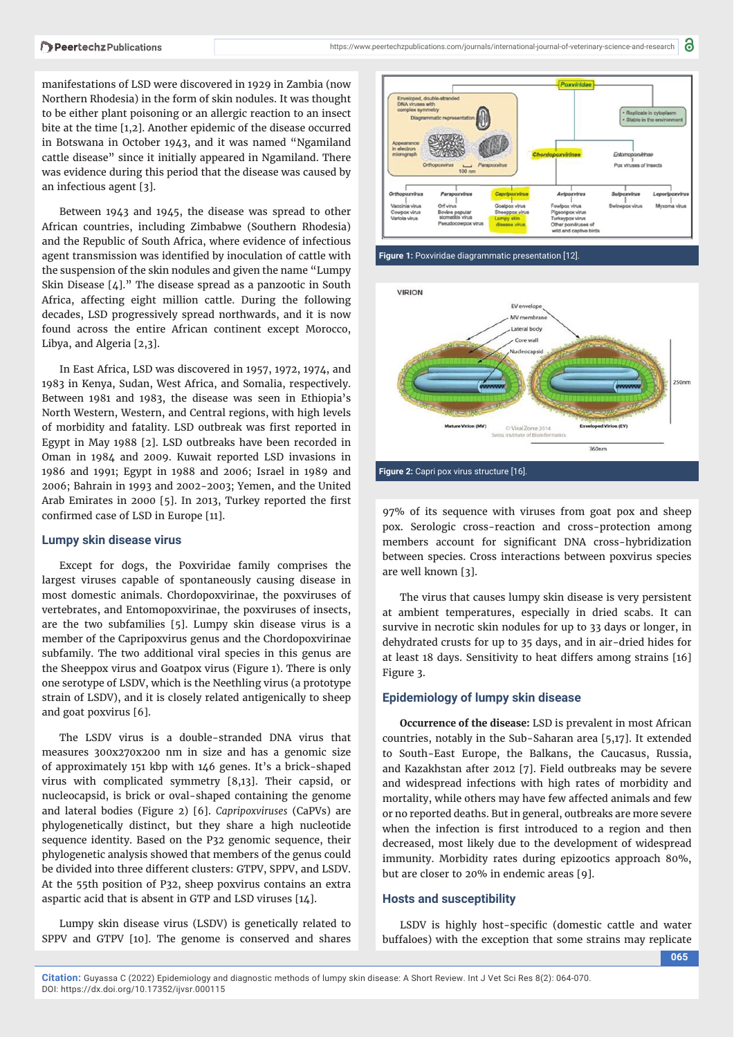manifestations of LSD were discovered in 1929 in Zambia (now Northern Rhodesia) in the form of skin nodules. It was thought to be either plant poisoning or an allergic reaction to an insect bite at the time [1,2]. Another epidemic of the disease occurred in Botswana in October 1943, and it was named "Ngamiland cattle disease" since it initially appeared in Ngamiland. There was evidence during this period that the disease was caused by an infectious agent [3].

Between 1943 and 1945, the disease was spread to other African countries, including Zimbabwe (Southern Rhodesia) and the Republic of South Africa, where evidence of infectious agent transmission was identified by inoculation of cattle with the suspension of the skin nodules and given the name "Lumpy Skin Disease [4]." The disease spread as a panzootic in South Africa, affecting eight million cattle. During the following decades, LSD progressively spread northwards, and it is now found across the entire African continent except Morocco, Libya, and Algeria [2,3].

In East Africa, LSD was discovered in 1957, 1972, 1974, and 1983 in Kenya, Sudan, West Africa, and Somalia, respectively. Between 1981 and 1983, the disease was seen in Ethiopia's North Western, Western, and Central regions, with high levels of morbidity and fatality. LSD outbreak was first reported in Egypt in May 1988 [2]. LSD outbreaks have been recorded in Oman in 1984 and 2009. Kuwait reported LSD invasions in 1986 and 1991; Egypt in 1988 and 2006; Israel in 1989 and 2006; Bahrain in 1993 and 2002-2003; Yemen, and the United Arab Emirates in 2000  $[5]$ . In 2013, Turkey reported the first confirmed case of LSD in Europe [11].

#### **Lumpy skin disease virus**

Except for dogs, the Poxviridae family comprises the largest viruses capable of spontaneously causing disease in most domestic animals. Chordopoxvirinae, the poxviruses of vertebrates, and Entomopoxvirinae, the poxviruses of insects, are the two subfamilies [5]. Lumpy skin disease virus is a member of the Capripoxvirus genus and the Chordopoxvirinae subfamily. The two additional viral species in this genus are the Sheeppox virus and Goatpox virus (Figure 1). There is only one serotype of LSDV, which is the Neethling virus (a prototype strain of LSDV), and it is closely related antigenically to sheep and goat poxvirus [6].

The LSDV virus is a double-stranded DNA virus that measures 300x270x200 nm in size and has a genomic size of approximately 151 kbp with 146 genes. It's a brick-shaped virus with complicated symmetry [8,13]. Their capsid, or nucleocapsid, is brick or oval-shaped containing the genome and lateral bodies (Figure 2) [6]. *Capripoxviruses* (CaPVs) are phylogenetically distinct, but they share a high nucleotide sequence identity. Based on the P32 genomic sequence, their phylogenetic analysis showed that members of the genus could be divided into three different clusters: GTPV, SPPV, and LSDV. At the 55th position of P32, sheep poxvirus contains an extra aspartic acid that is absent in GTP and LSD viruses [14].

Lumpy skin disease virus (LSDV) is genetically related to SPPV and GTPV [10]. The genome is conserved and shares



**Figure 1:** Poxviridae diagrammatic presentation [12].



**Figure 2:** Capri pox virus structure [16].

97% of its sequence with viruses from goat pox and sheep pox. Serologic cross-reaction and cross-protection among members account for significant DNA cross-hybridization between species. Cross interactions between poxvirus species are well known [3].

The virus that causes lumpy skin disease is very persistent at ambient temperatures, especially in dried scabs. It can survive in necrotic skin nodules for up to 33 days or longer, in dehydrated crusts for up to 35 days, and in air-dried hides for at least 18 days. Sensitivity to heat differs among strains [16] Figure 3.

### **Epidemiology of lumpy skin disease**

**Occurrence of the disease:** LSD is prevalent in most African countries, notably in the Sub-Saharan area [5,17]. It extended to South-East Europe, the Balkans, the Caucasus, Russia, and Kazakhstan after 2012 [7]. Field outbreaks may be severe and widespread infections with high rates of morbidity and mortality, while others may have few affected animals and few or no reported deaths. But in general, outbreaks are more severe when the infection is first introduced to a region and then decreased, most likely due to the development of widespread immunity. Morbidity rates during epizootics approach 80%, but are closer to 20% in endemic areas [9].

## **Hosts and susceptibility**

LSDV is highly host-specific (domestic cattle and water buffaloes) with the exception that some strains may replicate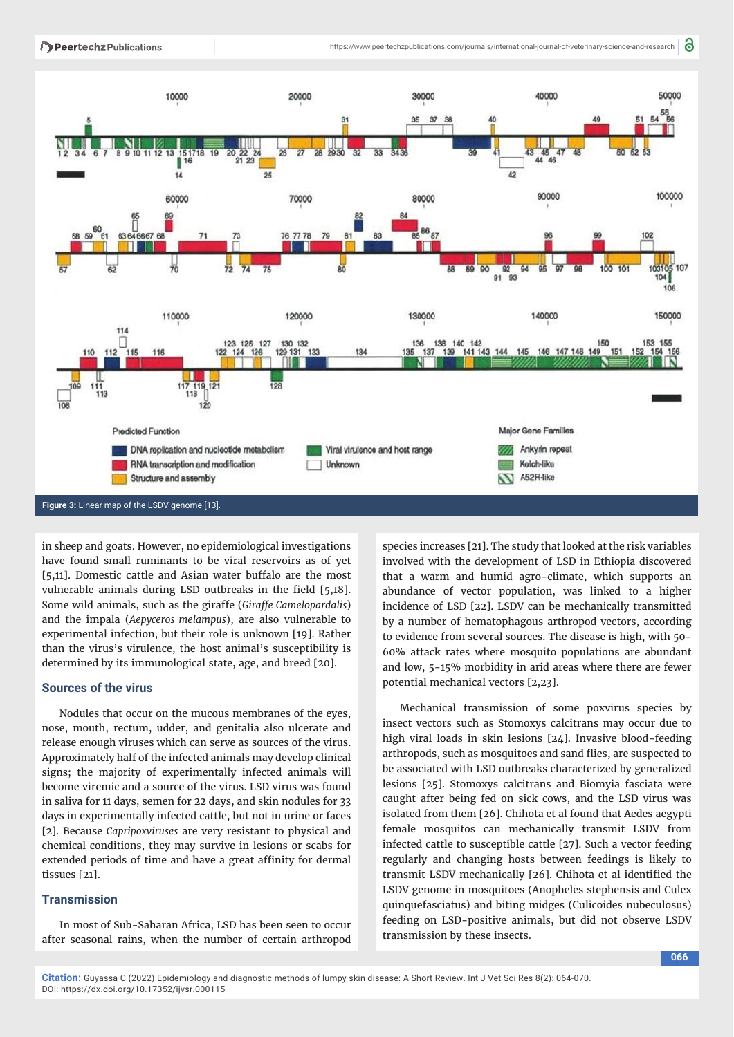

in sheep and goats. However, no epidemiological investigations have found small ruminants to be viral reservoirs as of yet [5,11]. Domestic cattle and Asian water buffalo are the most vulnerable animals during LSD outbreaks in the field  $[5,18]$ . Some wild animals, such as the giraffe (*Giraffe Camelopardalis*) and the impala (*Aepyceros melampus*), are also vulnerable to experimental infection, but their role is unknown [19]. Rather than the virus's virulence, the host animal's susceptibility is determined by its immunological state, age, and breed [20].

## **Sources of the virus**

Nodules that occur on the mucous membranes of the eyes, nose, mouth, rectum, udder, and genitalia also ulcerate and release enough viruses which can serve as sources of the virus. Approximately half of the infected animals may develop clinical signs; the majority of experimentally infected animals will become viremic and a source of the virus. LSD virus was found in saliva for 11 days, semen for 22 days, and skin nodules for 33 days in experimentally infected cattle, but not in urine or faces [2]. Because *Capripoxviruses* are very resistant to physical and chemical conditions, they may survive in lesions or scabs for extended periods of time and have a great affinity for dermal tissues [21].

## **Transmission**

In most of Sub-Saharan Africa, LSD has been seen to occur after seasonal rains, when the number of certain arthropod species increases [21]. The study that looked at the risk variables involved with the development of LSD in Ethiopia discovered that a warm and humid agro-climate, which supports an abundance of vector population, was linked to a higher incidence of LSD [22]. LSDV can be mechanically transmitted by a number of hematophagous arthropod vectors, according to evidence from several sources. The disease is high, with 50- 60% attack rates where mosquito populations are abundant and low, 5-15% morbidity in arid areas where there are fewer potential mechanical vectors [2,23].

Mechanical transmission of some poxvirus species by insect vectors such as Stomoxys calcitrans may occur due to high viral loads in skin lesions [24]. Invasive blood-feeding arthropods, such as mosquitoes and sand flies, are suspected to be associated with LSD outbreaks characterized by generalized lesions [25]. Stomoxys calcitrans and Biomyia fasciata were caught after being fed on sick cows, and the LSD virus was isolated from them [26]. Chihota et al found that Aedes aegypti female mosquitos can mechanically transmit LSDV from infected cattle to susceptible cattle [27]. Such a vector feeding regularly and changing hosts between feedings is likely to transmit LSDV mechanically [26]. Chihota et al identified the LSDV genome in mosquitoes (Anopheles stephensis and Culex quinquefasciatus) and biting midges (Culicoides nubeculosus) feeding on LSD-positive animals, but did not observe LSDV transmission by these insects.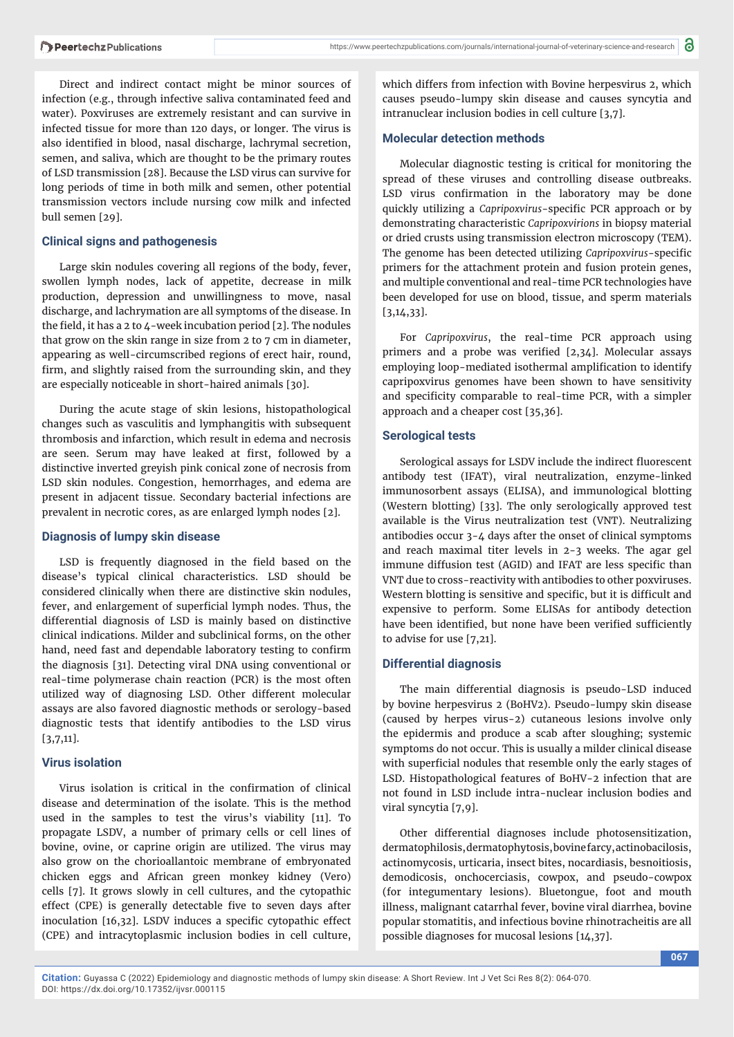Direct and indirect contact might be minor sources of infection (e.g., through infective saliva contaminated feed and water). Poxviruses are extremely resistant and can survive in infected tissue for more than 120 days, or longer. The virus is also identified in blood, nasal discharge, lachrymal secretion, semen, and saliva, which are thought to be the primary routes of LSD transmission [28]. Because the LSD virus can survive for long periods of time in both milk and semen, other potential transmission vectors include nursing cow milk and infected bull semen [29].

## **Clinical signs and pathogenesis**

Large skin nodules covering all regions of the body, fever, swollen lymph nodes, lack of appetite, decrease in milk production, depression and unwillingness to move, nasal discharge, and lachrymation are all symptoms of the disease. In the field, it has a 2 to  $\mu$ -week incubation period [2]. The nodules that grow on the skin range in size from 2 to 7 cm in diameter, appearing as well-circumscribed regions of erect hair, round, firm, and slightly raised from the surrounding skin, and they are especially noticeable in short-haired animals [30].

During the acute stage of skin lesions, histopathological changes such as vasculitis and lymphangitis with subsequent thrombosis and infarction, which result in edema and necrosis are seen. Serum may have leaked at first, followed by a distinctive inverted greyish pink conical zone of necrosis from LSD skin nodules. Congestion, hemorrhages, and edema are present in adjacent tissue. Secondary bacterial infections are prevalent in necrotic cores, as are enlarged lymph nodes [2].

## **Diagnosis of lumpy skin disease**

LSD is frequently diagnosed in the field based on the disease's typical clinical characteristics. LSD should be considered clinically when there are distinctive skin nodules, fever, and enlargement of superficial lymph nodes. Thus, the differential diagnosis of LSD is mainly based on distinctive clinical indications. Milder and subclinical forms, on the other hand, need fast and dependable laboratory testing to confirm the diagnosis [31]. Detecting viral DNA using conventional or real-time polymerase chain reaction (PCR) is the most often utilized way of diagnosing LSD. Other different molecular assays are also favored diagnostic methods or serology-based diagnostic tests that identify antibodies to the LSD virus [3,7,11].

## **Virus isolation**

Virus isolation is critical in the confirmation of clinical disease and determination of the isolate. This is the method used in the samples to test the virus's viability [11]. To propagate LSDV, a number of primary cells or cell lines of bovine, ovine, or caprine origin are utilized. The virus may also grow on the chorioallantoic membrane of embryonated chicken eggs and African green monkey kidney (Vero) cells [7]. It grows slowly in cell cultures, and the cytopathic effect (CPE) is generally detectable five to seven days after inoculation [16,32]. LSDV induces a specific cytopathic effect (CPE) and intracytoplasmic inclusion bodies in cell culture,

which differs from infection with Bovine herpesvirus 2, which causes pseudo-lumpy skin disease and causes syncytia and intranuclear inclusion bodies in cell culture [3,7].

#### **Molecular detection methods**

Molecular diagnostic testing is critical for monitoring the spread of these viruses and controlling disease outbreaks. LSD virus confirmation in the laboratory may be done quickly utilizing a *Capripoxvirus*-specific PCR approach or by demonstrating characteristic *Capripoxvirions* in biopsy material or dried crusts using transmission electron microscopy (TEM). The genome has been detected utilizing *Capripoxvirus*-specific primers for the attachment protein and fusion protein genes, and multiple conventional and real-time PCR technologies have been developed for use on blood, tissue, and sperm materials [3,14,33].

For *Capripoxvirus*, the real-time PCR approach using primers and a probe was verified  $[2,34]$ . Molecular assays employing loop-mediated isothermal amplification to identify capripoxvirus genomes have been shown to have sensitivity and specificity comparable to real-time PCR, with a simpler approach and a cheaper cost [35,36].

## **Serological tests**

Serological assays for LSDV include the indirect fluorescent antibody test (IFAT), viral neutralization, enzyme-linked immunosorbent assays (ELISA), and immunological blotting (Western blotting) [33]. The only serologically approved test available is the Virus neutralization test (VNT). Neutralizing antibodies occur 3-4 days after the onset of clinical symptoms and reach maximal titer levels in 2-3 weeks. The agar gel immune diffusion test (AGID) and IFAT are less specific than VNT due to cross-reactivity with antibodies to other poxviruses. Western blotting is sensitive and specific, but it is difficult and expensive to perform. Some ELISAs for antibody detection have been identified, but none have been verified sufficiently to advise for use [7,21].

#### **Differential diagnosis**

The main differential diagnosis is pseudo-LSD induced by bovine herpesvirus 2 (BoHV2). Pseudo-lumpy skin disease (caused by herpes virus-2) cutaneous lesions involve only the epidermis and produce a scab after sloughing; systemic symptoms do not occur. This is usually a milder clinical disease with superficial nodules that resemble only the early stages of LSD. Histopathological features of BoHV-2 infection that are not found in LSD include intra-nuclear inclusion bodies and viral syncytia [7,9].

Other differential diagnoses include photosensitization, dermatophilosis, dermatophytosis, bovine farcy, actinobacilosis, actinomycosis, urticaria, insect bites, nocardiasis, besnoitiosis, demodicosis, onchocerciasis, cowpox, and pseudo-cowpox (for integumentary lesions). Bluetongue, foot and mouth illness, malignant catarrhal fever, bovine viral diarrhea, bovine popular stomatitis, and infectious bovine rhinotracheitis are all possible diagnoses for mucosal lesions [14,37].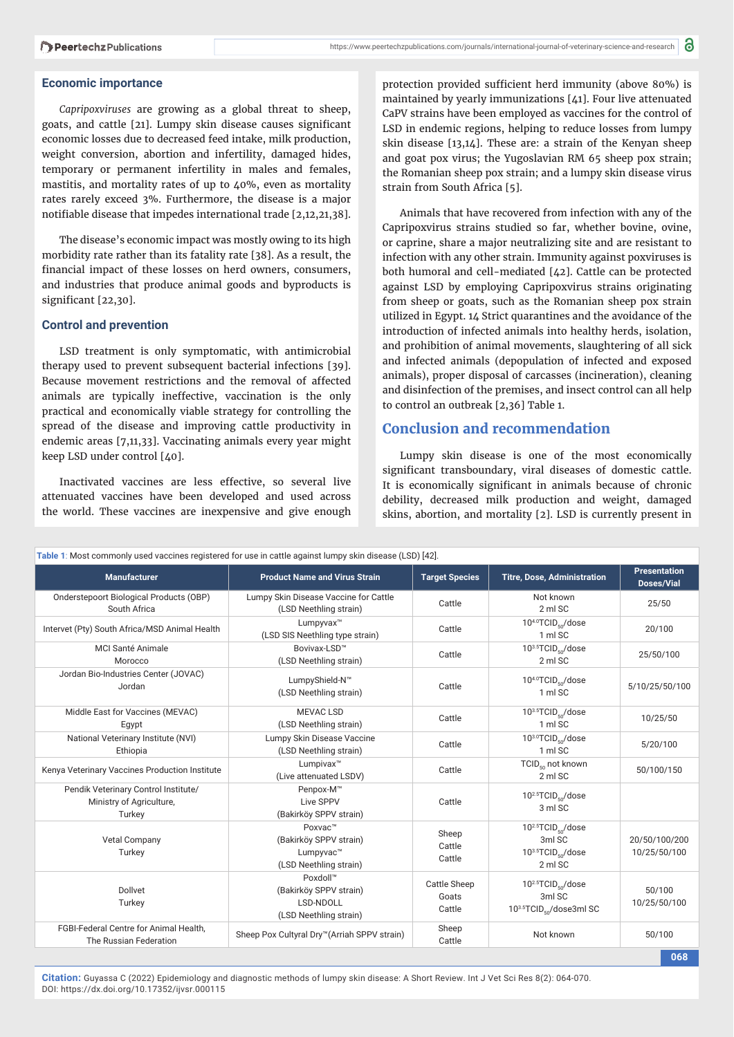#### **Economic importance**

*Capripoxviruses* are growing as a global threat to sheep, goats, and cattle [21]. Lumpy skin disease causes significant economic losses due to decreased feed intake, milk production, weight conversion, abortion and infertility, damaged hides, temporary or permanent infertility in males and females, mastitis, and mortality rates of up to 40%, even as mortality rates rarely exceed 3%. Furthermore, the disease is a major notifiable disease that impedes international trade [2,12,21,38].

The disease's economic impact was mostly owing to its high morbidity rate rather than its fatality rate [38]. As a result, the financial impact of these losses on herd owners, consumers, and industries that produce animal goods and byproducts is significant [22,30].

## **Control and prevention**

LSD treatment is only symptomatic, with antimicrobial therapy used to prevent subsequent bacterial infections [39]. Because movement restrictions and the removal of affected animals are typically ineffective, vaccination is the only practical and economically viable strategy for controlling the spread of the disease and improving cattle productivity in endemic areas [7,11,33]. Vaccinating animals every year might keep LSD under control [40].

Inactivated vaccines are less effective, so several live attenuated vaccines have been developed and used across the world. These vaccines are inexpensive and give enough

protection provided sufficient herd immunity (above 80%) is maintained by yearly immunizations [41]. Four live attenuated CaPV strains have been employed as vaccines for the control of LSD in endemic regions, helping to reduce losses from lumpy skin disease [13,14]. These are: a strain of the Kenyan sheep and goat pox virus; the Yugoslavian RM 65 sheep pox strain; the Romanian sheep pox strain; and a lumpy skin disease virus strain from South Africa [5].

Animals that have recovered from infection with any of the Capripoxvirus strains studied so far, whether bovine, ovine, or caprine, share a major neutralizing site and are resistant to infection with any other strain. Immunity against poxviruses is both humoral and cell-mediated [42]. Cattle can be protected against LSD by employing Capripoxvirus strains originating from sheep or goats, such as the Romanian sheep pox strain utilized in Egypt. 14 Strict quarantines and the avoidance of the introduction of infected animals into healthy herds, isolation, and prohibition of animal movements, slaughtering of all sick and infected animals (depopulation of infected and exposed animals), proper disposal of carcasses (incineration), cleaning and disinfection of the premises, and insect control can all help to control an outbreak [2,36] Table 1.

## **Conclusion and recommendation**

Lumpy skin disease is one of the most economically significant transboundary, viral diseases of domestic cattle. It is economically significant in animals because of chronic debility, decreased milk production and weight, damaged skins, abortion, and mortality [2]. LSD is currently present in

| Table 1: Most commonly used vaccines registered for use in cattle against lumpy skin disease (LSD) [42]. |                                                                           |                                        |                                                                                           |                                          |
|----------------------------------------------------------------------------------------------------------|---------------------------------------------------------------------------|----------------------------------------|-------------------------------------------------------------------------------------------|------------------------------------------|
| <b>Manufacturer</b>                                                                                      | <b>Product Name and Virus Strain</b>                                      | <b>Target Species</b>                  | <b>Titre, Dose, Administration</b>                                                        | <b>Presentation</b><br><b>Doses/Vial</b> |
| Onderstepoort Biological Products (OBP)<br>South Africa                                                  | Lumpy Skin Disease Vaccine for Cattle<br>(LSD Neethling strain)           | Cattle                                 | Not known<br>2 ml SC                                                                      | 25/50                                    |
| Intervet (Pty) South Africa/MSD Animal Health                                                            | Lumpyvax™<br>(LSD SIS Neethling type strain)                              | Cattle                                 | $10^{4.0}$ TCID <sub>so</sub> /dose<br>1 ml SC                                            | 20/100                                   |
| <b>MCI Santé Animale</b><br>Morocco                                                                      | Bovivax-LSD™<br>(LSD Neethling strain)                                    | Cattle                                 | 103.5TCID <sub>co</sub> /dose<br>2 ml SC                                                  | 25/50/100                                |
| Jordan Bio-Industries Center (JOVAC)<br>Jordan                                                           | LumpyShield-N™<br>(LSD Neethling strain)                                  | Cattle                                 | $10^{4.0}$ TCID <sub>so</sub> /dose<br>1 ml SC                                            | 5/10/25/50/100                           |
| Middle East for Vaccines (MEVAC)<br>Egypt                                                                | <b>MEVAC LSD</b><br>(LSD Neethling strain)                                | Cattle                                 | 103.5TCID <sub>so</sub> /dose<br>1 ml SC                                                  | 10/25/50                                 |
| National Veterinary Institute (NVI)<br>Ethiopia                                                          | Lumpy Skin Disease Vaccine<br>(LSD Neethling strain)                      | Cattle                                 | 103.0TCID <sub>co</sub> /dose<br>1 ml SC                                                  | 5/20/100                                 |
| Kenya Veterinary Vaccines Production Institute                                                           | Lumpivax <sup>™</sup><br>(Live attenuated LSDV)                           | Cattle                                 | TCID <sub>50</sub> not known<br>2 ml SC                                                   | 50/100/150                               |
| Pendik Veterinary Control Institute/<br>Ministry of Agriculture,<br>Turkey                               | Penpox-M™<br>Live SPPV<br>(Bakirköy SPPV strain)                          | Cattle                                 | 10 <sup>2.5</sup> TCID <sub>co</sub> /dose<br>3 ml SC                                     |                                          |
| <b>Vetal Company</b><br>Turkey                                                                           | Poxvac™<br>(Bakirköy SPPV strain)<br>Lumpyvac™<br>(LSD Neethling strain)  | Sheep<br>Cattle<br>Cattle              | $10^{2.5}$ TCID <sub>so</sub> /dose<br>3ml SC<br>103.5TCID <sub>so</sub> /dose<br>2 ml SC | 20/50/100/200<br>10/25/50/100            |
| Dollvet<br>Turkey                                                                                        | Poxdoll™<br>(Bakirköy SPPV strain)<br>LSD-NDOLL<br>(LSD Neethling strain) | <b>Cattle Sheep</b><br>Goats<br>Cattle | $10^{2.5}$ TCID <sub>so</sub> /dose<br>3ml SC<br>103.5TCID <sub>so</sub> /dose3ml SC      | 50/100<br>10/25/50/100                   |
| FGBI-Federal Centre for Animal Health,<br>The Russian Federation                                         | Sheep Pox Cultyral Dry™(Arriah SPPV strain)                               | Sheep<br>Cattle                        | Not known                                                                                 | 50/100                                   |
| 068                                                                                                      |                                                                           |                                        |                                                                                           |                                          |

**Citation:** Guyassa C (2022) Epidemiology and diagnostic methods of lumpy skin disease: A Short Review. Int J Vet Sci Res 8(2): 064-070. DOI: https://dx.doi.org/10.17352/ijvsr.000115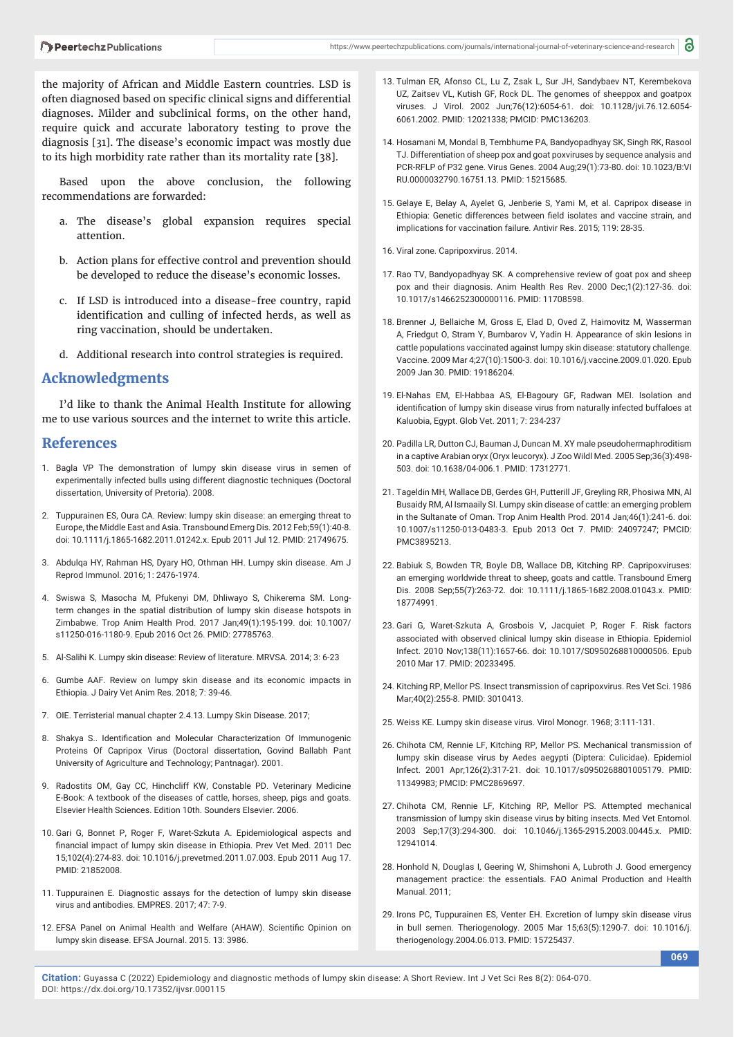the majority of African and Middle Eastern countries. LSD is often diagnosed based on specific clinical signs and differential diagnoses. Milder and subclinical forms, on the other hand, require quick and accurate laboratory testing to prove the diagnosis [31]. The disease's economic impact was mostly due to its high morbidity rate rather than its mortality rate [38].

Based upon the above conclusion, the following recommendations are forwarded:

- a. The disease's global expansion requires special attention.
- b. Action plans for effective control and prevention should be developed to reduce the disease's economic losses.
- c. If LSD is introduced into a disease-free country, rapid identification and culling of infected herds, as well as ring vaccination, should be undertaken.
- d. Additional research into control strategies is required.

## **Acknowledgments**

I'd like to thank the Animal Health Institute for allowing me to use various sources and the internet to write this article.

## **References**

- 1. Bagla VP The demonstration of lumpy skin disease virus in semen of experimentally infected bulls using different diagnostic techniques (Doctoral dissertation, University of Pretoria). 2008.
- 2. Tuppurainen ES, Oura CA. Review: lumpy skin disease: an emerging threat to Europe, the Middle East and Asia. Transbound Emerg Dis. 2012 Feb;59(1):40-8. doi: 10.1111/j.1865-1682.2011.01242.x. Epub 2011 Jul 12. PMID: 21749675.
- 3. Abdulqa HY, Rahman HS, Dyary HO, Othman HH. Lumpy skin disease. Am J Reprod Immunol. 2016; 1: 2476-1974.
- 4. Swiswa S, Masocha M, Pfukenyi DM, Dhliwayo S, Chikerema SM. Longterm changes in the spatial distribution of lumpy skin disease hotspots in Zimbabwe. Trop Anim Health Prod. 2017 Jan;49(1):195-199. doi: 10.1007/ s11250-016-1180-9. Epub 2016 Oct 26. PMID: 27785763.
- 5. Al-Salihi K. Lumpy skin disease: Review of literature. MRVSA. 2014; 3: 6-23
- 6. Gumbe AAF. Review on lumpy skin disease and its economic impacts in Ethiopia. J Dairy Vet Anim Res. 2018; 7: 39-46.
- 7. OIE. Terristerial manual chapter 2.4.13. Lumpy Skin Disease. 2017;
- 8. Shakya S.. Identification and Molecular Characterization Of Immunogenic Proteins Of Capripox Virus (Doctoral dissertation, Govind Ballabh Pant University of Agriculture and Technology; Pantnagar). 2001.
- 9. Radostits OM, Gay CC, Hinchcliff KW, Constable PD. Veterinary Medicine E-Book: A textbook of the diseases of cattle, horses, sheep, pigs and goats. Elsevier Health Sciences. Edition 10th. Sounders Elsevier. 2006.
- 10. Gari G, Bonnet P, Roger F, Waret-Szkuta A. Epidemiological aspects and financial impact of lumpy skin disease in Ethiopia. Prev Vet Med. 2011 Dec 15;102(4):274-83. doi: 10.1016/j.prevetmed.2011.07.003. Epub 2011 Aug 17. PMID: 21852008.
- 11. Tuppurainen E. Diagnostic assays for the detection of lumpy skin disease virus and antibodies. EMPRES. 2017; 47: 7-9.
- 12. EFSA Panel on Animal Health and Welfare (AHAW). Scientific Opinion on lumpy skin disease. EFSA Journal. 2015. 13: 3986.
- 13. Tulman ER, Afonso CL, Lu Z, Zsak L, Sur JH, Sandybaev NT, Kerembekova UZ, Zaitsev VL, Kutish GF, Rock DL. The genomes of sheeppox and goatpox viruses. J Virol. 2002 Jun;76(12):6054-61. doi: 10.1128/jvi.76.12.6054- 6061.2002. PMID: 12021338; PMCID: PMC136203.
- 14. Hosamani M, Mondal B, Tembhurne PA, Bandyopadhyay SK, Singh RK, Rasool TJ. Differentiation of sheep pox and goat poxviruses by sequence analysis and PCR-RFLP of P32 gene. Virus Genes. 2004 Aug;29(1):73-80. doi: 10.1023/B:VI RU.0000032790.16751.13. PMID: 15215685.
- 15. Gelaye E, Belay A, Ayelet G, Jenberie S, Yami M, et al. Capripox disease in Ethiopia: Genetic differences between field isolates and vaccine strain, and implications for vaccination failure. Antivir Res. 2015; 119: 28-35.
- 16. Viral zone. Capripoxvirus. 2014.
- 17. Rao TV, Bandyopadhyay SK. A comprehensive review of goat pox and sheep pox and their diagnosis. Anim Health Res Rev. 2000 Dec;1(2):127-36. doi: 10.1017/s1466252300000116. PMID: 11708598.
- 18. Brenner J, Bellaiche M, Gross E, Elad D, Oved Z, Haimovitz M, Wasserman A, Friedgut O, Stram Y, Bumbarov V, Yadin H. Appearance of skin lesions in cattle populations vaccinated against lumpy skin disease: statutory challenge. Vaccine. 2009 Mar 4;27(10):1500-3. doi: 10.1016/j.vaccine.2009.01.020. Epub 2009 Jan 30. PMID: 19186204.
- 19. El-Nahas EM, El-Habbaa AS, El-Bagoury GF, Radwan MEI. Isolation and identification of lumpy skin disease virus from naturally infected buffaloes at Kaluobia, Egypt. Glob Vet. 2011; 7: 234-237
- 20. Padilla LR, Dutton CJ, Bauman J, Duncan M. XY male pseudohermaphroditism in a captive Arabian oryx (Oryx leucoryx). J Zoo Wildl Med. 2005 Sep;36(3):498- 503. doi: 10.1638/04-006.1. PMID: 17312771.
- 21. Tageldin MH, Wallace DB, Gerdes GH, Putterill JF, Greyling RR, Phosiwa MN, Al Busaidy RM, Al Ismaaily SI. Lumpy skin disease of cattle: an emerging problem in the Sultanate of Oman. Trop Anim Health Prod. 2014 Jan;46(1):241-6. doi: 10.1007/s11250-013-0483-3. Epub 2013 Oct 7. PMID: 24097247; PMCID: PMC3895213.
- 22. Babiuk S, Bowden TR, Boyle DB, Wallace DB, Kitching RP. Capripoxviruses: an emerging worldwide threat to sheep, goats and cattle. Transbound Emerg Dis. 2008 Sep;55(7):263-72. doi: 10.1111/j.1865-1682.2008.01043.x. PMID: 18774991.
- 23. Gari G, Waret-Szkuta A, Grosbois V, Jacquiet P, Roger F. Risk factors associated with observed clinical lumpy skin disease in Ethiopia. Epidemiol Infect. 2010 Nov;138(11):1657-66. doi: 10.1017/S0950268810000506. Epub 2010 Mar 17. PMID: 20233495.
- 24. Kitching RP, Mellor PS. Insect transmission of capripoxvirus. Res Vet Sci. 1986 Mar;40(2):255-8. PMID: 3010413.
- 25. Weiss KE. Lumpy skin disease virus. Virol Monogr. 1968; 3:111-131.
- 26. Chihota CM, Rennie LF, Kitching RP, Mellor PS. Mechanical transmission of lumpy skin disease virus by Aedes aegypti (Diptera: Culicidae). Epidemiol Infect. 2001 Apr;126(2):317-21. doi: 10.1017/s0950268801005179. PMID: 11349983; PMCID: PMC2869697.
- 27. Chihota CM, Rennie LF, Kitching RP, Mellor PS. Attempted mechanical transmission of lumpy skin disease virus by biting insects. Med Vet Entomol. 2003 Sep;17(3):294-300. doi: 10.1046/j.1365-2915.2003.00445.x. PMID: 12941014.
- 28. Honhold N, Douglas I, Geering W, Shimshoni A, Lubroth J. Good emergency management practice: the essentials. FAO Animal Production and Health Manual. 2011;
- 29. Irons PC, Tuppurainen ES, Venter EH. Excretion of lumpy skin disease virus in bull semen. Theriogenology. 2005 Mar 15;63(5):1290-7. doi: 10.1016/j. theriogenology.2004.06.013. PMID: 15725437.

**069**